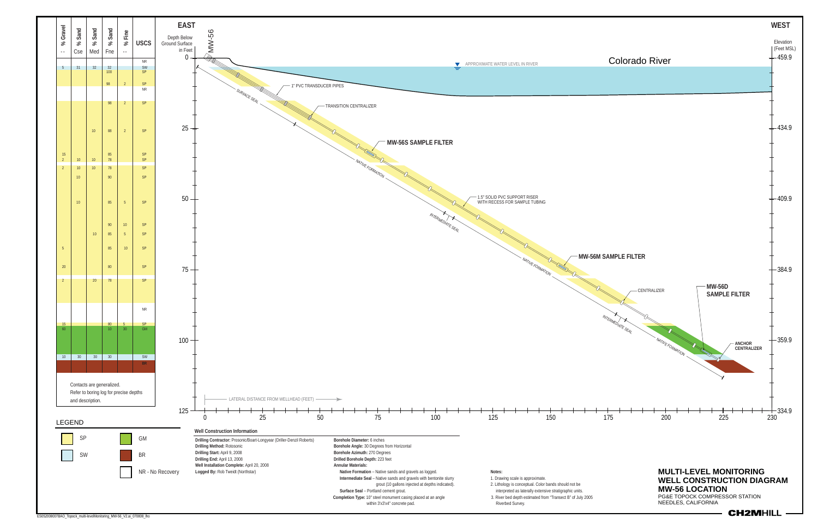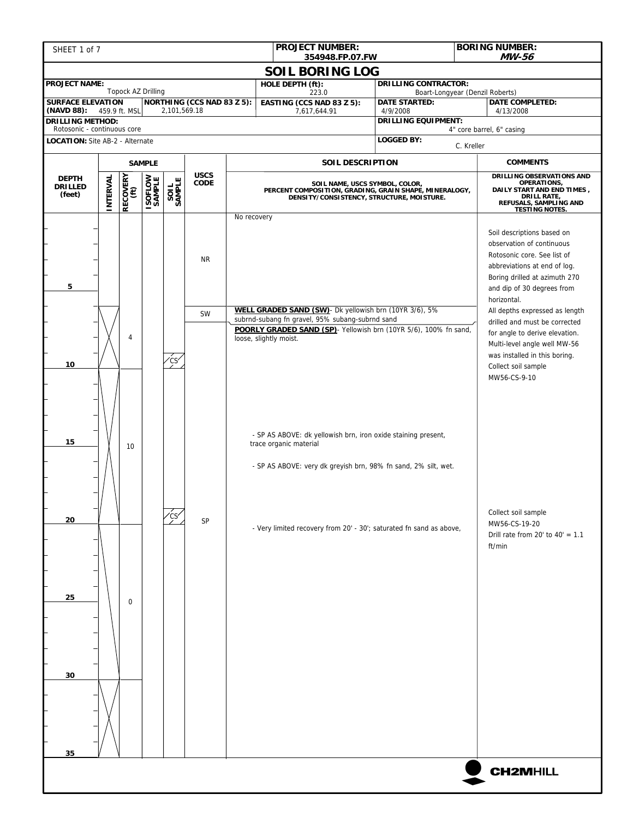| <b>PROJECT NUMBER:</b><br>SHEET 1 of 7<br>354948.FP.07.FW      |               |                    |                          |                  |                                   |             |                                                                                                                                                                                                          |                                                                                                                                                 | <b>BORING NUMBER:</b><br>MW-56 |                                                                                                                                                                                                                                                                                                                                           |
|----------------------------------------------------------------|---------------|--------------------|--------------------------|------------------|-----------------------------------|-------------|----------------------------------------------------------------------------------------------------------------------------------------------------------------------------------------------------------|-------------------------------------------------------------------------------------------------------------------------------------------------|--------------------------------|-------------------------------------------------------------------------------------------------------------------------------------------------------------------------------------------------------------------------------------------------------------------------------------------------------------------------------------------|
|                                                                |               |                    |                          |                  |                                   |             | <b>SOIL BORING LOG</b>                                                                                                                                                                                   |                                                                                                                                                 |                                |                                                                                                                                                                                                                                                                                                                                           |
| <b>PROJECT NAME:</b>                                           |               | Topock AZ Drilling |                          |                  |                                   |             | HOLE DEPTH (ft):                                                                                                                                                                                         | <b>DRILLING CONTRACTOR:</b>                                                                                                                     |                                |                                                                                                                                                                                                                                                                                                                                           |
| <b>SURFACE ELEVATION</b>                                       |               |                    |                          |                  | <b>NORTHING (CCS NAD 83 Z 5):</b> |             | 223.0<br>EASTING (CCS NAD 83 Z 5):                                                                                                                                                                       | Boart-Longyear (Denzil Roberts)<br><b>DATE STARTED:</b>                                                                                         |                                | <b>DATE COMPLETED:</b>                                                                                                                                                                                                                                                                                                                    |
| (NAVD 88):<br><b>DRILLING METHOD:</b>                          | 459.9 ft. MSL |                    |                          | 2,101,569.18     |                                   |             | 7,617,644.91                                                                                                                                                                                             | 4/9/2008<br><b>DRILLING EQUIPMENT:</b>                                                                                                          |                                | 4/13/2008                                                                                                                                                                                                                                                                                                                                 |
| Rotosonic - continuous core<br>LOCATION: Site AB-2 - Alternate |               |                    |                          |                  |                                   |             |                                                                                                                                                                                                          | <b>LOGGED BY:</b>                                                                                                                               |                                | 4" core barrel, 6" casing                                                                                                                                                                                                                                                                                                                 |
|                                                                |               |                    |                          |                  |                                   |             |                                                                                                                                                                                                          |                                                                                                                                                 | C. Kreller                     |                                                                                                                                                                                                                                                                                                                                           |
|                                                                |               |                    | <b>SAMPLE</b>            |                  |                                   |             | SOIL DESCRIPTION                                                                                                                                                                                         |                                                                                                                                                 |                                | <b>COMMENTS</b>                                                                                                                                                                                                                                                                                                                           |
| <b>DEPTH</b><br>DRILLED<br>(feet)                              | INTERVAL      | RECOVERY<br>(ft)   | <b>ISOFLOW</b><br>SAMPLE | SAMPLE<br>SAMPLE | <b>USCS</b><br><b>CODE</b>        | No recovery | SOIL NAME, USCS SYMBOL, COLOR,<br>PERCENT COMPOSITION, GRADING, GRAIN SHAPE, MINERALOGY,<br>DENSITY/CONSISTENCY, STRUCTURE, MOISTURE.                                                                    | DRILLING OBSERVATIONS AND<br>OPERATIONS,<br>DAILY START AND END TIMES,<br><b>DRILL RATE,</b><br>REFUSALS, SAMPLING AND<br><b>TESTING NOTES.</b> |                                |                                                                                                                                                                                                                                                                                                                                           |
| 5                                                              |               | 4                  |                          |                  | <b>NR</b><br><b>SW</b>            |             | WELL GRADED SAND (SW)- Dk yellowish brn (10YR 3/6), 5%<br>subrnd-subang fn gravel, 95% subang-subrnd sand<br>POORLY GRADED SAND (SP) - Yellowish brn (10YR 5/6), 100% fn sand,<br>loose, slightly moist. |                                                                                                                                                 |                                | Soil descriptions based on<br>observation of continuous<br>Rotosonic core. See list of<br>abbreviations at end of log.<br>Boring drilled at azimuth 270<br>and dip of 30 degrees from<br>horizontal.<br>All depths expressed as length<br>drilled and must be corrected<br>for angle to derive elevation.<br>Multi-level angle well MW-56 |
| 10<br>15                                                       |               | 10                 |                          | 'CS              |                                   |             | - SP AS ABOVE: dk yellowish brn, iron oxide staining present,<br>trace organic material<br>- SP AS ABOVE: very dk greyish brn, 98% fn sand, 2% silt, wet.                                                |                                                                                                                                                 |                                | was installed in this boring.<br>Collect soil sample<br>MW56-CS-9-10                                                                                                                                                                                                                                                                      |
| 20                                                             |               |                    |                          |                  | SP                                |             | - Very limited recovery from 20' - 30'; saturated fn sand as above,                                                                                                                                      |                                                                                                                                                 |                                | Collect soil sample<br>MW56-CS-19-20<br>Drill rate from 20' to $40' = 1.1$<br>ft/min                                                                                                                                                                                                                                                      |
| 25<br>30                                                       |               | $\Omega$           |                          |                  |                                   |             |                                                                                                                                                                                                          |                                                                                                                                                 |                                |                                                                                                                                                                                                                                                                                                                                           |
| 35                                                             |               |                    |                          |                  |                                   |             |                                                                                                                                                                                                          |                                                                                                                                                 |                                | <b>CH2MHILL</b>                                                                                                                                                                                                                                                                                                                           |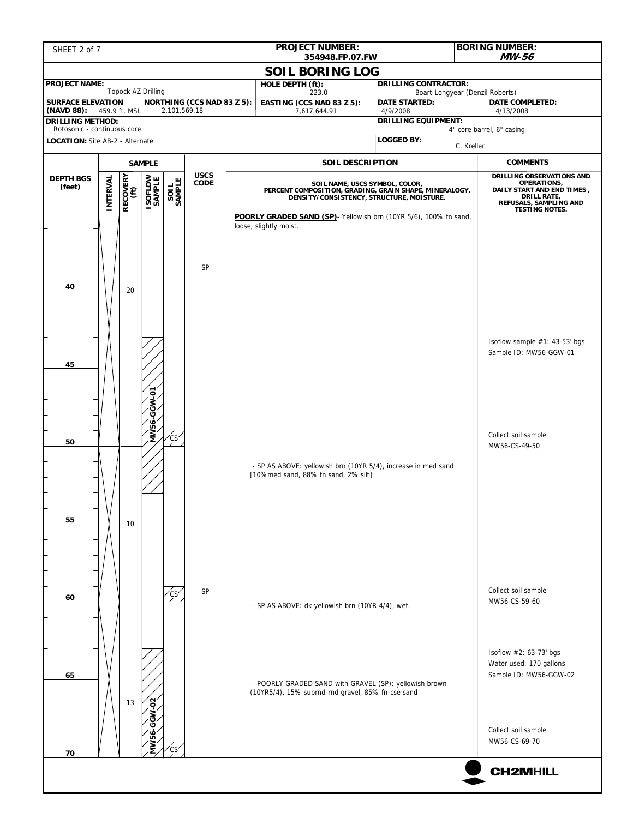| SHEET 2 of 7                                                   |                 |                  |                          |                                 |                                   | <b>PROJECT NUMBER:</b>                                                                                      | <b>BORING NUMBER:</b><br>354948.FP.07.FW                                                                                              |                                                                             |  |  |
|----------------------------------------------------------------|-----------------|------------------|--------------------------|---------------------------------|-----------------------------------|-------------------------------------------------------------------------------------------------------------|---------------------------------------------------------------------------------------------------------------------------------------|-----------------------------------------------------------------------------|--|--|
|                                                                |                 |                  |                          |                                 |                                   | <b>SOIL BORING LOG</b>                                                                                      |                                                                                                                                       | MW-56                                                                       |  |  |
| <b>PROJECT NAME:</b>                                           |                 |                  | Topock AZ Drilling       |                                 |                                   | HOLE DEPTH (ft):<br>223.0                                                                                   | <b>DRILLING CONTRACTOR:</b>                                                                                                           | Boart-Longyear (Denzil Roberts)                                             |  |  |
| <b>SURFACE ELEVATION</b>                                       |                 |                  |                          | 2,101,569.18                    | <b>NORTHING (CCS NAD 83 Z 5):</b> | EASTING (CCS NAD 83 Z 5):                                                                                   | <b>DATE STARTED:</b><br>4/9/2008                                                                                                      | DATE COMPLETED:                                                             |  |  |
| (NAVD 88): 459.9 ft. MSL<br><b>DRILLING METHOD:</b>            |                 |                  |                          |                                 |                                   | 7,617,644.91                                                                                                | <b>DRILLING EQUIPMENT:</b>                                                                                                            | 4/13/2008                                                                   |  |  |
| Rotosonic - continuous core<br>LOCATION: Site AB-2 - Alternate |                 |                  |                          |                                 |                                   |                                                                                                             | <b>LOGGED BY:</b>                                                                                                                     | 4" core barrel, 6" casing                                                   |  |  |
|                                                                |                 |                  |                          |                                 |                                   |                                                                                                             |                                                                                                                                       | C. Kreller                                                                  |  |  |
|                                                                |                 | <b>SAMPLE</b>    |                          |                                 | <b>USCS</b>                       | SOIL DESCRIPTION                                                                                            |                                                                                                                                       | <b>COMMENTS</b><br>DRILLING OBSERVATIONS AND                                |  |  |
| <b>DEPTH BGS</b><br>(feet)                                     | <b>INTERVAL</b> | RECOVERY<br>(ft) | <b>ISOFLOW</b><br>SAMPLE | SAMPLE                          | CODE                              |                                                                                                             | SOIL NAME, USCS SYMBOL, COLOR,<br>PERCENT COMPOSITION, GRADING, GRAIN SHAPE, MINERALOGY,<br>DENSITY/CONSISTENCY, STRUCTURE, MOISTURE. |                                                                             |  |  |
| 40                                                             |                 | 20               |                          |                                 | SP                                | POORLY GRADED SAND (SP) - Yellowish brn (10YR 5/6), 100% fn sand,<br>loose, slightly moist.                 |                                                                                                                                       | <b>TESTING NOTES.</b>                                                       |  |  |
| 45                                                             |                 |                  | GGW-01                   |                                 |                                   |                                                                                                             |                                                                                                                                       | Isoflow sample #1: 43-53' bgs<br>Sample ID: MW56-GGW-01                     |  |  |
| 50                                                             |                 |                  | <b>MW56-</b>             | $\overline{c}$ s $\overline{c}$ |                                   | - SP AS ABOVE: yellowish brn (10YR 5/4), increase in med sand<br>[10%med sand, 88% fn sand, 2% silt]        |                                                                                                                                       | Collect soil sample<br>MW56-CS-49-50                                        |  |  |
| 55                                                             |                 | 10               |                          |                                 |                                   |                                                                                                             |                                                                                                                                       |                                                                             |  |  |
| 60                                                             |                 |                  |                          | ćs                              | SP                                | - SP AS ABOVE: dk yellowish brn (10YR 4/4), wet.                                                            |                                                                                                                                       | Collect soil sample<br>MW56-CS-59-60                                        |  |  |
| 65                                                             |                 | 13               | GW-02                    |                                 |                                   | - POORLY GRADED SAND with GRAVEL (SP): yellowish brown<br>(10YR5/4), 15% subrnd-rnd gravel, 85% fn-cse sand |                                                                                                                                       | Isoflow #2: 63-73' bgs<br>Water used: 170 gallons<br>Sample ID: MW56-GGW-02 |  |  |
|                                                                |                 |                  |                          | ʻcs′                            |                                   |                                                                                                             |                                                                                                                                       | Collect soil sample<br>MW56-CS-69-70                                        |  |  |
| 70                                                             |                 |                  |                          |                                 |                                   |                                                                                                             |                                                                                                                                       | <b>CH2MHILL</b>                                                             |  |  |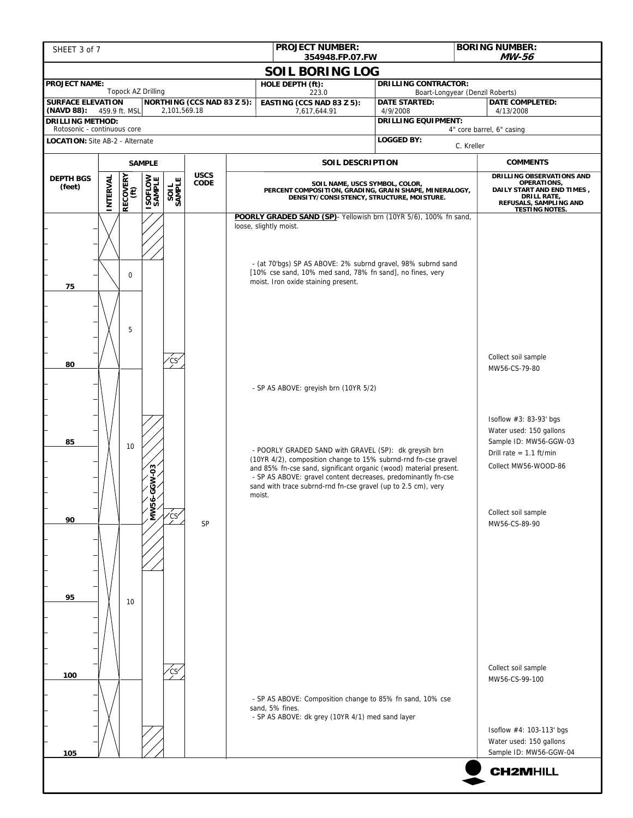| SHEET 3 of 7                                        |                        |                  |                          |              |                            |  | <b>PROJECT NUMBER:</b>                                                                                                                                                                                                                                                                                                                                                            | <b>BORING NUMBER:</b><br>MW-56<br>354948.FP.07.FW                                                                                     |                                        |                                                           |                                                                                                                                                 |  |
|-----------------------------------------------------|------------------------|------------------|--------------------------|--------------|----------------------------|--|-----------------------------------------------------------------------------------------------------------------------------------------------------------------------------------------------------------------------------------------------------------------------------------------------------------------------------------------------------------------------------------|---------------------------------------------------------------------------------------------------------------------------------------|----------------------------------------|-----------------------------------------------------------|-------------------------------------------------------------------------------------------------------------------------------------------------|--|
|                                                     | <b>SOIL BORING LOG</b> |                  |                          |              |                            |  |                                                                                                                                                                                                                                                                                                                                                                                   |                                                                                                                                       |                                        |                                                           |                                                                                                                                                 |  |
| <b>PROJECT NAME:</b>                                |                        |                  | Topock AZ Drilling       |              |                            |  | HOLE DEPTH (ft):                                                                                                                                                                                                                                                                                                                                                                  |                                                                                                                                       | <b>DRILLING CONTRACTOR:</b>            |                                                           |                                                                                                                                                 |  |
| <b>SURFACE ELEVATION</b>                            |                        |                  |                          |              | NORTHING (CCS NAD 83 Z 5): |  | 223.0<br>EASTING (CCS NAD 83 Z 5):                                                                                                                                                                                                                                                                                                                                                |                                                                                                                                       | <b>DATE STARTED:</b>                   | Boart-Longyear (Denzil Roberts)<br><b>DATE COMPLETED:</b> |                                                                                                                                                 |  |
| (NAVD 88): 459.9 ft. MSL<br><b>DRILLING METHOD:</b> |                        |                  |                          | 2,101,569.18 |                            |  | 7,617,644.91                                                                                                                                                                                                                                                                                                                                                                      |                                                                                                                                       | 4/9/2008<br><b>DRILLING EQUIPMENT:</b> |                                                           | 4/13/2008                                                                                                                                       |  |
| Rotosonic - continuous core                         |                        |                  |                          |              |                            |  |                                                                                                                                                                                                                                                                                                                                                                                   |                                                                                                                                       | <b>LOGGED BY:</b>                      | 4" core barrel, 6" casing                                 |                                                                                                                                                 |  |
| LOCATION: Site AB-2 - Alternate                     |                        |                  |                          |              |                            |  |                                                                                                                                                                                                                                                                                                                                                                                   |                                                                                                                                       |                                        | C. Kreller                                                |                                                                                                                                                 |  |
|                                                     |                        |                  | <b>SAMPLE</b>            |              |                            |  | SOIL DESCRIPTION                                                                                                                                                                                                                                                                                                                                                                  |                                                                                                                                       |                                        |                                                           | <b>COMMENTS</b>                                                                                                                                 |  |
| <b>DEPTH BGS</b><br>(feet)                          | <b>INTERVAL</b>        | RECOVERY<br>(ft) | <b>ISOFLOW</b><br>SAMPLE | SAMPLE       | <b>USCS</b><br>CODE        |  |                                                                                                                                                                                                                                                                                                                                                                                   | SOIL NAME, USCS SYMBOL, COLOR,<br>PERCENT COMPOSITION, GRADING, GRAIN SHAPE, MINERALOGY,<br>DENSITY/CONSISTENCY, STRUCTURE, MOISTURE. |                                        |                                                           | DRILLING OBSERVATIONS AND<br>OPERATIONS,<br>DAILY START AND END TIMES,<br><b>DRILL RATE,</b><br>REFUSALS, SAMPLING AND<br><b>TESTING NOTES.</b> |  |
| 75                                                  |                        | $\mathbf 0$<br>5 |                          |              |                            |  | POORLY GRADED SAND (SP) - Yellowish brn (10YR 5/6), 100% fn sand,<br>loose, slightly moist.<br>- (at 70'bgs) SP AS ABOVE: 2% subrnd gravel, 98% subrnd sand<br>[10% cse sand, 10% med sand, 78% fn sand], no fines, very<br>moist. Iron oxide staining present.                                                                                                                   |                                                                                                                                       |                                        |                                                           |                                                                                                                                                 |  |
| 80                                                  |                        |                  |                          | 'cs          |                            |  | - SP AS ABOVE: greyish brn (10YR 5/2)<br>- POORLY GRADED SAND with GRAVEL (SP): dk greysih brn<br>(10YR 4/2), composition change to 15% subrnd-rnd fn-cse gravel<br>and 85% fn-cse sand, significant organic (wood) material present.<br>- SP AS ABOVE: gravel content decreases, predominantly fn-cse<br>sand with trace subrnd-rnd fn-cse gravel (up to 2.5 cm), very<br>moist. |                                                                                                                                       |                                        |                                                           | Collect soil sample<br>MW56-CS-79-80                                                                                                            |  |
| 85                                                  |                        | 10               | -GGW-03                  |              |                            |  |                                                                                                                                                                                                                                                                                                                                                                                   |                                                                                                                                       |                                        |                                                           | Isoflow #3: 83-93' bgs<br>Water used: 150 gallons<br>Sample ID: MW56-GGW-03<br>Drill rate = $1.1$ ft/min<br>Collect MW56-WOOD-86                |  |
| 90                                                  |                        |                  | ف<br>š                   | ′çs          | SP                         |  |                                                                                                                                                                                                                                                                                                                                                                                   |                                                                                                                                       |                                        |                                                           | Collect soil sample<br>MW56-CS-89-90                                                                                                            |  |
| 95                                                  |                        | 10               |                          |              |                            |  |                                                                                                                                                                                                                                                                                                                                                                                   |                                                                                                                                       |                                        |                                                           |                                                                                                                                                 |  |
| 100<br>105                                          |                        |                  |                          | ʻcsʻ         |                            |  | - SP AS ABOVE: Composition change to 85% fn sand, 10% cse<br>sand, 5% fines.<br>- SP AS ABOVE: dk grey (10YR 4/1) med sand layer                                                                                                                                                                                                                                                  |                                                                                                                                       |                                        |                                                           | Collect soil sample<br>MW56-CS-99-100<br>Isoflow #4: 103-113' bgs<br>Water used: 150 gallons<br>Sample ID: MW56-GGW-04                          |  |
|                                                     |                        |                  |                          |              |                            |  |                                                                                                                                                                                                                                                                                                                                                                                   |                                                                                                                                       |                                        |                                                           | <b>CH2MHILL</b>                                                                                                                                 |  |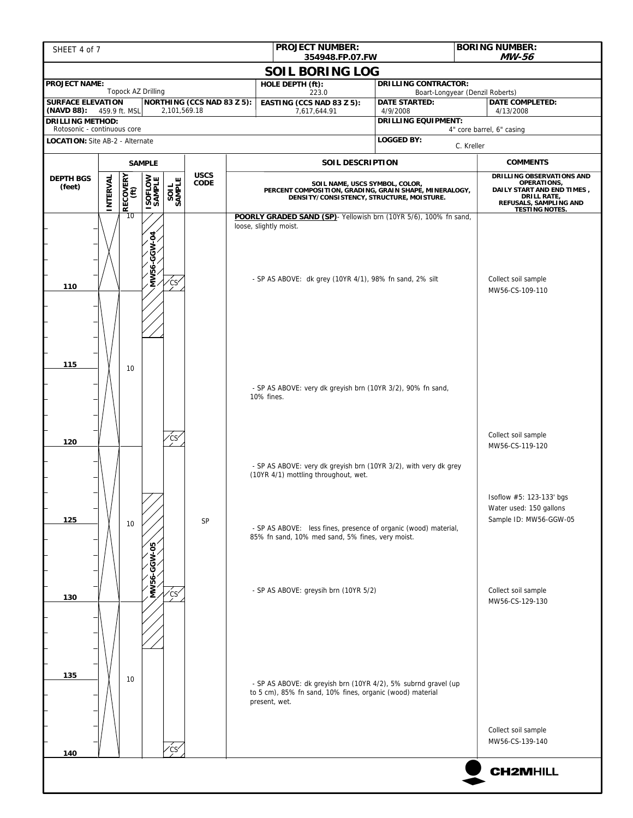| <b>PROJECT NUMBER:</b><br>SHEET 4 of 7<br>354948.FP.07.FW      |                                                                                       |               |                          |                 |                            |  |                                                                                   |                                                                             |                                                                   |                                                                                                                                                 | <b>BORING NUMBER:</b><br>MW-56                                                |  |
|----------------------------------------------------------------|---------------------------------------------------------------------------------------|---------------|--------------------------|-----------------|----------------------------|--|-----------------------------------------------------------------------------------|-----------------------------------------------------------------------------|-------------------------------------------------------------------|-------------------------------------------------------------------------------------------------------------------------------------------------|-------------------------------------------------------------------------------|--|
|                                                                | <b>SOIL BORING LOG</b>                                                                |               |                          |                 |                            |  |                                                                                   |                                                                             |                                                                   |                                                                                                                                                 |                                                                               |  |
| <b>PROJECT NAME:</b>                                           | Topock AZ Drilling                                                                    |               |                          |                 |                            |  | HOLE DEPTH (ft):<br>223.0                                                         |                                                                             | <b>DRILLING CONTRACTOR:</b>                                       | Boart-Longyear (Denzil Roberts)                                                                                                                 |                                                                               |  |
| <b>SURFACE ELEVATION</b>                                       |                                                                                       |               |                          |                 | NORTHING (CCS NAD 83 Z 5): |  | EASTING (CCS NAD 83 Z 5):                                                         |                                                                             | <b>DATE STARTED:</b>                                              |                                                                                                                                                 | <b>DATE COMPLETED:</b>                                                        |  |
| (NAVD 88):<br><b>DRILLING METHOD:</b>                          | 459.9 ft. MSL                                                                         |               |                          | 2,101,569.18    |                            |  | 7,617,644.91                                                                      |                                                                             | 4/9/2008<br><b>DRILLING EQUIPMENT:</b>                            |                                                                                                                                                 | 4/13/2008                                                                     |  |
| Rotosonic - continuous core<br>LOCATION: Site AB-2 - Alternate |                                                                                       |               |                          |                 |                            |  |                                                                                   |                                                                             | <b>LOGGED BY:</b>                                                 |                                                                                                                                                 | 4" core barrel, 6" casing                                                     |  |
|                                                                |                                                                                       |               |                          |                 |                            |  |                                                                                   |                                                                             |                                                                   | C. Kreller                                                                                                                                      |                                                                               |  |
|                                                                |                                                                                       | <b>SAMPLE</b> |                          |                 | <b>USCS</b>                |  |                                                                                   | SOIL DESCRIPTION                                                            |                                                                   |                                                                                                                                                 | <b>COMMENTS</b>                                                               |  |
| <b>DEPTH BGS</b><br>(feet)                                     | $\left \begin{array}{c} \text{RECOVERY} \ \text{(ft)} \end{array}\right $<br>INTERVAL |               | <b>ISOFLOW</b><br>SAMPLE | SAMPLE          | <b>CODE</b>                |  | PERCENT COMPOSITION, GRADING, GRAIN SHAPE, MINERALOGY,                            | SOIL NAME, USCS SYMBOL, COLOR,<br>DENSITY/CONSISTENCY, STRUCTURE, MOISTURE. |                                                                   | DRILLING OBSERVATIONS AND<br>OPERATIONS,<br>DAILY START AND END TIMES,<br><b>DRILL RATE,</b><br>REFUSALS, SAMPLING AND<br><b>TESTING NOTES.</b> |                                                                               |  |
| 110                                                            |                                                                                       | 10            | MW56-GGW-04              | ∕cs∕            |                            |  | loose, slightly moist.<br>- SP AS ABOVE: dk grey (10YR 4/1), 98% fn sand, 2% silt |                                                                             | POORLY GRADED SAND (SP) - Yellowish brn (10YR 5/6), 100% fn sand, |                                                                                                                                                 | Collect soil sample<br>MW56-CS-109-110                                        |  |
| 115                                                            |                                                                                       | 10            |                          |                 |                            |  | - SP AS ABOVE: very dk greyish brn (10YR 3/2), 90% fn sand,<br>10% fines.         |                                                                             |                                                                   |                                                                                                                                                 |                                                                               |  |
| 120                                                            |                                                                                       |               |                          |                 |                            |  |                                                                                   |                                                                             |                                                                   |                                                                                                                                                 | Collect soil sample<br>MW56-CS-119-120                                        |  |
|                                                                |                                                                                       |               |                          |                 |                            |  | (10YR 4/1) mottling throughout, wet.                                              |                                                                             | - SP AS ABOVE: very dk greyish brn (10YR 3/2), with very dk grey  |                                                                                                                                                 |                                                                               |  |
| 125                                                            |                                                                                       | 10            | ဒို<br>Š                 |                 | <b>SP</b>                  |  | 85% fn sand, 10% med sand, 5% fines, very moist.                                  |                                                                             | - SP AS ABOVE: less fines, presence of organic (wood) material,   |                                                                                                                                                 | Isoflow #5: 123-133' bgs<br>Water used: 150 gallons<br>Sample ID: MW56-GGW-05 |  |
| 130                                                            |                                                                                       |               | <b>MW56</b>              | Ćs <sup>,</sup> |                            |  | - SP AS ABOVE: greysih brn (10YR 5/2)                                             |                                                                             |                                                                   |                                                                                                                                                 | Collect soil sample<br>MW56-CS-129-130                                        |  |
| 135                                                            |                                                                                       | 10            |                          |                 |                            |  | to 5 cm), 85% fn sand, 10% fines, organic (wood) material<br>present, wet.        |                                                                             | - SP AS ABOVE: dk greyish brn (10YR 4/2), 5% subrnd gravel (up    |                                                                                                                                                 | Collect soil sample                                                           |  |
| 140                                                            |                                                                                       |               |                          | $\zeta$ cs      |                            |  |                                                                                   |                                                                             |                                                                   |                                                                                                                                                 | MW56-CS-139-140                                                               |  |
|                                                                |                                                                                       |               |                          |                 |                            |  |                                                                                   |                                                                             |                                                                   |                                                                                                                                                 | <b>CH2MHILL</b>                                                               |  |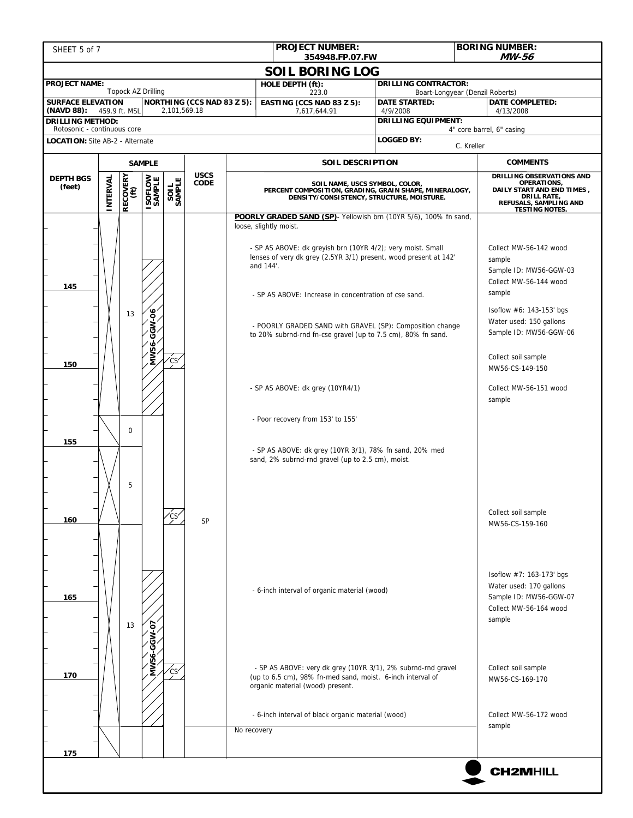| SHEET 5 of 7                                                   |          |                  |                          |                  |                            |             | <b>PROJECT NUMBER:</b><br>354948.FP.07.FW                                                                                                                                                                                                                                                 |                  |                                                                                                                                                                                                                                                                                                                               |                                                           | <b>BORING NUMBER:</b><br><b>MW-56</b>                                                                                                                                                                                                                         |  |
|----------------------------------------------------------------|----------|------------------|--------------------------|------------------|----------------------------|-------------|-------------------------------------------------------------------------------------------------------------------------------------------------------------------------------------------------------------------------------------------------------------------------------------------|------------------|-------------------------------------------------------------------------------------------------------------------------------------------------------------------------------------------------------------------------------------------------------------------------------------------------------------------------------|-----------------------------------------------------------|---------------------------------------------------------------------------------------------------------------------------------------------------------------------------------------------------------------------------------------------------------------|--|
|                                                                |          |                  |                          |                  |                            |             | <b>SOIL BORING LOG</b>                                                                                                                                                                                                                                                                    |                  |                                                                                                                                                                                                                                                                                                                               |                                                           |                                                                                                                                                                                                                                                               |  |
| <b>PROJECT NAME:</b>                                           |          |                  | Topock AZ Drilling       |                  |                            |             | HOLE DEPTH (ft):                                                                                                                                                                                                                                                                          |                  | <b>DRILLING CONTRACTOR:</b>                                                                                                                                                                                                                                                                                                   |                                                           |                                                                                                                                                                                                                                                               |  |
| <b>SURFACE ELEVATION</b>                                       |          |                  |                          |                  | NORTHING (CCS NAD 83 Z 5): |             | 223.0<br>EASTING (CCS NAD 83 Z 5):                                                                                                                                                                                                                                                        |                  | <b>DATE STARTED:</b>                                                                                                                                                                                                                                                                                                          | Boart-Longyear (Denzil Roberts)<br><b>DATE COMPLETED:</b> |                                                                                                                                                                                                                                                               |  |
| (NAVD 88): 459.9 ft. MSL<br><b>DRILLING METHOD:</b>            |          |                  |                          | 2,101,569.18     |                            |             | 7,617,644.91                                                                                                                                                                                                                                                                              |                  | 4/9/2008<br><b>DRILLING EQUIPMENT:</b>                                                                                                                                                                                                                                                                                        |                                                           | 4/13/2008                                                                                                                                                                                                                                                     |  |
| Rotosonic - continuous core<br>LOCATION: Site AB-2 - Alternate |          |                  |                          |                  |                            |             |                                                                                                                                                                                                                                                                                           |                  | <b>LOGGED BY:</b>                                                                                                                                                                                                                                                                                                             |                                                           | 4" core barrel, 6" casing                                                                                                                                                                                                                                     |  |
|                                                                |          |                  |                          |                  |                            |             |                                                                                                                                                                                                                                                                                           |                  |                                                                                                                                                                                                                                                                                                                               | C. Kreller                                                |                                                                                                                                                                                                                                                               |  |
|                                                                |          |                  | <b>SAMPLE</b>            |                  | <b>USCS</b>                |             |                                                                                                                                                                                                                                                                                           | SOIL DESCRIPTION |                                                                                                                                                                                                                                                                                                                               |                                                           | <b>COMMENTS</b><br>DRILLING OBSERVATIONS AND                                                                                                                                                                                                                  |  |
| <b>DEPTH BGS</b><br>(feet)                                     | INTERVAL | RECOVERY<br>(ft) | <b>ISOFLOW</b><br>SAMPLE | SAMPLE<br>SAMPLE | <b>CODE</b>                |             |                                                                                                                                                                                                                                                                                           |                  | SOIL NAME, USCS SYMBOL, COLOR,<br>PERCENT COMPOSITION, GRADING, GRAIN SHAPE, MINERALOGY,<br>DENSITY/CONSISTENCY, STRUCTURE, MOISTURE.                                                                                                                                                                                         |                                                           | OPERATIONS,<br>DAILY START AND END TIMES,<br>DRILL RATE,<br>REFUSALS, SAMPLING AND<br><b>TESTING NOTES.</b>                                                                                                                                                   |  |
| 145<br>150<br>155                                              |          | 13<br>$\Omega$   | GGW-06<br><b>MW56-</b>   | 'CS'             |                            |             | loose, slightly moist.<br>- SP AS ABOVE: dk greyish brn (10YR 4/2); very moist. Small<br>and 144'.<br>- SP AS ABOVE: Increase in concentration of cse sand.<br>- SP AS ABOVE: dk grey (10YR4/1)<br>- Poor recovery from 153' to 155'<br>sand, 2% subrnd-rnd gravel (up to 2.5 cm), moist. |                  | POORLY GRADED SAND (SP) - Yellowish brn (10YR 5/6), 100% fn sand,<br>lenses of very dk grey (2.5YR 3/1) present, wood present at 142'<br>- POORLY GRADED SAND with GRAVEL (SP): Composition change<br>to 20% subrnd-rnd fn-cse gravel (up to 7.5 cm), 80% fn sand.<br>- SP AS ABOVE: dk grey (10YR 3/1), 78% fn sand, 20% med |                                                           | Collect MW-56-142 wood<br>sample<br>Sample ID: MW56-GGW-03<br>Collect MW-56-144 wood<br>sample<br>Isoflow #6: 143-153' bgs<br>Water used: 150 gallons<br>Sample ID: MW56-GGW-06<br>Collect soil sample<br>MW56-CS-149-150<br>Collect MW-56-151 wood<br>sample |  |
| 160                                                            |          | 5                |                          |                  | SP                         |             |                                                                                                                                                                                                                                                                                           |                  |                                                                                                                                                                                                                                                                                                                               |                                                           | Collect soil sample<br>MW56-CS-159-160                                                                                                                                                                                                                        |  |
| 165                                                            |          | 13               | MW56-GGW-07              |                  |                            |             | - 6-inch interval of organic material (wood)                                                                                                                                                                                                                                              |                  |                                                                                                                                                                                                                                                                                                                               |                                                           | Isoflow #7: 163-173' bgs<br>Water used: 170 gallons<br>Sample ID: MW56-GGW-07<br>Collect MW-56-164 wood<br>sample                                                                                                                                             |  |
| 170                                                            |          |                  |                          | cs <sup>,</sup>  |                            |             | (up to 6.5 cm), 98% fn-med sand, moist. 6-inch interval of<br>organic material (wood) present.                                                                                                                                                                                            |                  | - SP AS ABOVE: very dk grey (10YR 3/1), 2% subrnd-rnd gravel                                                                                                                                                                                                                                                                  |                                                           | Collect soil sample<br>MW56-CS-169-170                                                                                                                                                                                                                        |  |
| 175                                                            |          |                  |                          |                  |                            | No recovery | - 6-inch interval of black organic material (wood)                                                                                                                                                                                                                                        |                  |                                                                                                                                                                                                                                                                                                                               |                                                           | Collect MW-56-172 wood<br>sample                                                                                                                                                                                                                              |  |
|                                                                |          |                  |                          |                  |                            |             |                                                                                                                                                                                                                                                                                           |                  |                                                                                                                                                                                                                                                                                                                               |                                                           |                                                                                                                                                                                                                                                               |  |
|                                                                |          |                  |                          |                  |                            |             |                                                                                                                                                                                                                                                                                           |                  |                                                                                                                                                                                                                                                                                                                               |                                                           | <b>CH2MHILL</b>                                                                                                                                                                                                                                               |  |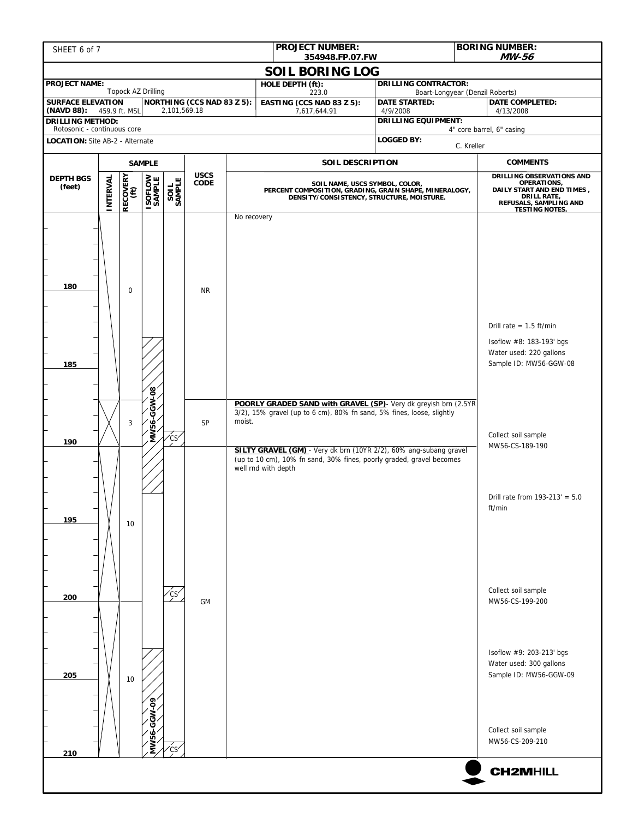| SHEET 6 of 7                                                                                                                                           |                 |                  |                          |               |                            |                                                                                                                                       |                     | <b>PROJECT NUMBER:</b>    | 354948.FP.07.FW                  |                                                                                                                                                                                                                                                                                        |                                     | <b>BORING NUMBER:</b><br>MW-56                                                |
|--------------------------------------------------------------------------------------------------------------------------------------------------------|-----------------|------------------|--------------------------|---------------|----------------------------|---------------------------------------------------------------------------------------------------------------------------------------|---------------------|---------------------------|----------------------------------|----------------------------------------------------------------------------------------------------------------------------------------------------------------------------------------------------------------------------------------------------------------------------------------|-------------------------------------|-------------------------------------------------------------------------------|
|                                                                                                                                                        |                 |                  |                          |               |                            |                                                                                                                                       |                     |                           | <b>SOIL BORING LOG</b>           |                                                                                                                                                                                                                                                                                        |                                     |                                                                               |
| <b>PROJECT NAME:</b>                                                                                                                                   |                 |                  | Topock AZ Drilling       |               |                            |                                                                                                                                       |                     | HOLE DEPTH (ft):<br>223.0 |                                  | <b>DRILLING CONTRACTOR:</b>                                                                                                                                                                                                                                                            | Boart-Longyear (Denzil Roberts)     |                                                                               |
| EASTING (CCS NAD 83 Z 5):<br><b>SURFACE ELEVATION</b><br><b>NORTHING (CCS NAD 83 Z 5):</b><br>2,101,569.18<br>(NAVD 88): 459.9 ft. MSL<br>7,617,644.91 |                 |                  |                          |               |                            |                                                                                                                                       |                     |                           | <b>DATE STARTED:</b><br>4/9/2008 |                                                                                                                                                                                                                                                                                        | <b>DATE COMPLETED:</b><br>4/13/2008 |                                                                               |
| <b>DRILLING EQUIPMENT:</b><br><b>DRILLING METHOD:</b><br>Rotosonic - continuous core                                                                   |                 |                  |                          |               |                            |                                                                                                                                       |                     |                           | 4" core barrel, 6" casing        |                                                                                                                                                                                                                                                                                        |                                     |                                                                               |
| <b>LOGGED BY:</b><br>LOCATION: Site AB-2 - Alternate<br>C. Kreller                                                                                     |                 |                  |                          |               |                            |                                                                                                                                       |                     |                           |                                  |                                                                                                                                                                                                                                                                                        |                                     |                                                                               |
|                                                                                                                                                        | <b>SAMPLE</b>   |                  |                          |               |                            |                                                                                                                                       | SOIL DESCRIPTION    |                           |                                  | <b>COMMENTS</b>                                                                                                                                                                                                                                                                        |                                     |                                                                               |
| <b>DEPTH BGS</b><br>(feet)                                                                                                                             | <b>INTERVAL</b> | RECOVERY<br>(ft) | <b>ISOFLOW</b><br>SAMPLE | SAMPLE        | <b>USCS</b><br><b>CODE</b> | SOIL NAME, USCS SYMBOL, COLOR,<br>PERCENT COMPOSITION, GRADING, GRAIN SHAPE, MINERALOGY,<br>DENSITY/CONSISTENCY, STRUCTURE, MOISTURE. |                     |                           |                                  | DRILLING OBSERVATIONS AND<br>OPERATIONS,<br>DAILY START AND END TIMES,<br><b>DRILL RATE,</b><br>REFUSALS, SAMPLING AND<br><b>TESTING NOTES.</b>                                                                                                                                        |                                     |                                                                               |
| 180                                                                                                                                                    |                 | $\mathbf 0$      |                          |               | <b>NR</b>                  | No recovery                                                                                                                           |                     |                           |                                  |                                                                                                                                                                                                                                                                                        |                                     | Drill rate = $1.5$ ft/min                                                     |
| 185                                                                                                                                                    |                 |                  |                          |               |                            |                                                                                                                                       |                     |                           |                                  |                                                                                                                                                                                                                                                                                        |                                     | Isoflow #8: 183-193' bgs<br>Water used: 220 gallons<br>Sample ID: MW56-GGW-08 |
| 190                                                                                                                                                    |                 | 3                | <b>ANV56-GGW-08</b>      | ćs⁄           | SP                         | moist.                                                                                                                                | well rnd with depth |                           |                                  | POORLY GRADED SAND with GRAVEL (SP) - Very dk greyish brn (2.5YR<br>3/2), 15% gravel (up to 6 cm), 80% fn sand, 5% fines, loose, slightly<br>SILTY GRAVEL (GM) - Very dk brn (10YR 2/2), 60% ang-subang gravel<br>(up to 10 cm), 10% fn sand, 30% fines, poorly graded, gravel becomes |                                     | Collect soil sample<br>MW56-CS-189-190                                        |
| 195                                                                                                                                                    |                 | 10               |                          |               |                            |                                                                                                                                       |                     |                           |                                  |                                                                                                                                                                                                                                                                                        |                                     | Drill rate from $193-213' = 5.0$<br>ft/min                                    |
| 200                                                                                                                                                    |                 |                  |                          | $\frac{1}{2}$ | <b>GM</b>                  |                                                                                                                                       |                     |                           |                                  |                                                                                                                                                                                                                                                                                        |                                     | Collect soil sample<br>MW56-CS-199-200                                        |
| 205                                                                                                                                                    |                 | 10               | MW56-GGW-09              |               |                            |                                                                                                                                       |                     |                           |                                  |                                                                                                                                                                                                                                                                                        |                                     | Isoflow #9: 203-213' bgs<br>Water used: 300 gallons<br>Sample ID: MW56-GGW-09 |
|                                                                                                                                                        |                 |                  |                          | ćs            |                            |                                                                                                                                       |                     |                           |                                  |                                                                                                                                                                                                                                                                                        |                                     | Collect soil sample<br>MW56-CS-209-210                                        |
| 210                                                                                                                                                    |                 |                  |                          |               |                            |                                                                                                                                       |                     |                           |                                  |                                                                                                                                                                                                                                                                                        |                                     | <b>CH2MHILL</b>                                                               |